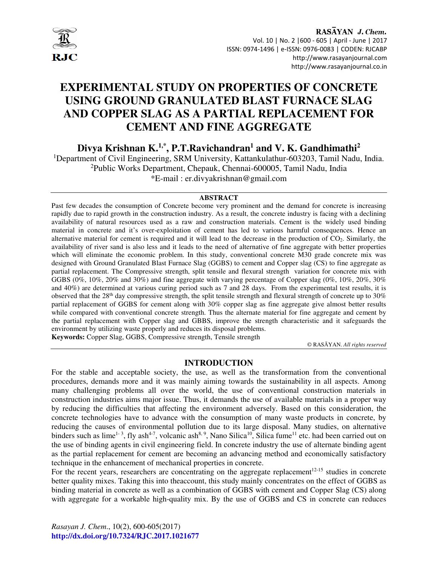

# **EXPERIMENTAL STUDY ON PROPERTIES OF CONCRETE USING GROUND GRANULATED BLAST FURNACE SLAG AND COPPER SLAG AS A PARTIAL REPLACEMENT FOR CEMENT AND FINE AGGREGATE**

**Divya Krishnan K.1,\*, P.T.Ravichandran<sup>1</sup> and V. K. Gandhimathi<sup>2</sup>**

<sup>1</sup>Department of Civil Engineering, SRM University, Kattankulathur-603203, Tamil Nadu, India. <sup>2</sup>Public Works Department, Chepauk, Chennai-600005, Tamil Nadu, India \*E-mail : er.divyakrishnan@gmail.com

#### **ABSTRACT**

Past few decades the consumption of Concrete become very prominent and the demand for concrete is increasing rapidly due to rapid growth in the construction industry. As a result, the concrete industry is facing with a declining availability of natural resources used as a raw and construction materials. Cement is the widely used binding material in concrete and it's over-exploitation of cement has led to various harmful consequences. Hence an alternative material for cement is required and it will lead to the decrease in the production of CO2. Similarly, the availability of river sand is also less and it leads to the need of alternative of fine aggregate with better properties which will eliminate the economic problem. In this study, conventional concrete M30 grade concrete mix was designed with Ground Granulated Blast Furnace Slag (GGBS) to cement and Copper slag (CS) to fine aggregate as partial replacement. The Compressive strength, split tensile and flexural strength variation for concrete mix with GGBS (0%, 10%, 20% and 30%) and fine aggregate with varying percentage of Copper slag (0%, 10%, 20%, 30% and 40%) are determined at various curing period such as 7 and 28 days. From the experimental test results, it is observed that the  $28<sup>th</sup>$  day compressive strength, the split tensile strength and flexural strength of concrete up to  $30\%$ partial replacement of GGBS for cement along with 30% copper slag as fine aggregate give almost better results while compared with conventional concrete strength. Thus the alternate material for fine aggregate and cement by the partial replacement with Copper slag and GBBS, improve the strength characteristic and it safeguards the environment by utilizing waste properly and reduces its disposal problems. **Keywords:** Copper Slag, GGBS, Compressive strength, Tensile strength

© RASĀYAN. *All rights reserved*

### **INTRODUCTION**

For the stable and acceptable society, the use, as well as the transformation from the conventional procedures, demands more and it was mainly aiming towards the sustainability in all aspects. Among many challenging problems all over the world, the use of conventional construction materials in construction industries aims major issue. Thus, it demands the use of available materials in a proper way by reducing the difficulties that affecting the environment adversely. Based on this consideration, the concrete technologies have to advance with the consumption of many waste products in concrete, by reducing the causes of environmental pollution due to its large disposal. Many studies, on alternative binders such as lime<sup>1-3</sup>, fly ash<sup>4-7</sup>, volcanic ash<sup>8, 9</sup>, Nano Silica<sup>10</sup>, Silica fume<sup>11</sup> etc. had been carried out on the use of binding agents in civil engineering field. In concrete industry the use of alternate binding agent as the partial replacement for cement are becoming an advancing method and economically satisfactory technique in the enhancement of mechanical properties in concrete.

For the recent years, researchers are concentrating on the aggregate replacement $12-15$  studies in concrete better quality mixes. Taking this into theaccount, this study mainly concentrates on the effect of GGBS as binding material in concrete as well as a combination of GGBS with cement and Copper Slag (CS) along with aggregate for a workable high-quality mix. By the use of GGBS and CS in concrete can reduces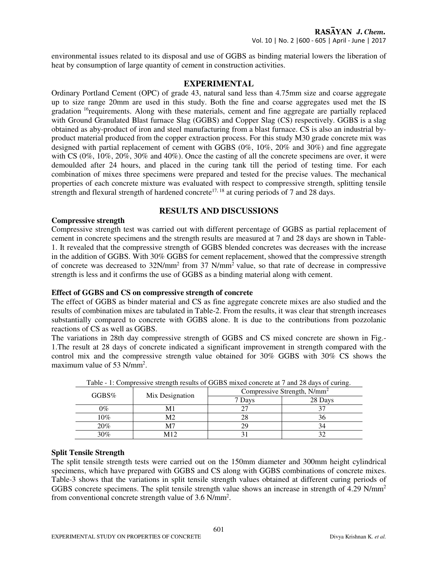environmental issues related to its disposal and use of GGBS as binding material lowers the liberation of heat by consumption of large quantity of cement in construction activities.

## **EXPERIMENTAL**

Ordinary Portland Cement (OPC) of grade 43, natural sand less than 4.75mm size and coarse aggregate up to size range 20mm are used in this study. Both the fine and coarse aggregates used met the IS gradation <sup>16</sup>requirements. Along with these materials, cement and fine aggregate are partially replaced with Ground Granulated Blast furnace Slag (GGBS) and Copper Slag (CS) respectively. GGBS is a slag obtained as aby-product of iron and steel manufacturing from a blast furnace. CS is also an industrial byproduct material produced from the copper extraction process. For this study M30 grade concrete mix was designed with partial replacement of cement with GGBS (0%, 10%, 20% and 30%) and fine aggregate with CS (0%, 10%, 20%, 30% and 40%). Once the casting of all the concrete specimens are over, it were demoulded after 24 hours, and placed in the curing tank till the period of testing time. For each combination of mixes three specimens were prepared and tested for the precise values. The mechanical properties of each concrete mixture was evaluated with respect to compressive strength, splitting tensile strength and flexural strength of hardened concrete<sup>17, 18</sup> at curing periods of 7 and 28 days.

# **RESULTS AND DISCUSSIONS**

### **Compressive strength**

Compressive strength test was carried out with different percentage of GGBS as partial replacement of cement in concrete specimens and the strength results are measured at 7 and 28 days are shown in Table-1. It revealed that the compressive strength of GGBS blended concretes was decreases with the increase in the addition of GGBS. With 30% GGBS for cement replacement, showed that the compressive strength of concrete was decreased to 32N/mm<sup>2</sup> from 37 N/mm<sup>2</sup> value, so that rate of decrease in compressive strength is less and it confirms the use of GGBS as a binding material along with cement.

### **Effect of GGBS and CS on compressive strength of concrete**

The effect of GGBS as binder material and CS as fine aggregate concrete mixes are also studied and the results of combination mixes are tabulated in Table-2. From the results, it was clear that strength increases substantially compared to concrete with GGBS alone. It is due to the contributions from pozzolanic reactions of CS as well as GGBS.

The variations in 28th day compressive strength of GGBS and CS mixed concrete are shown in Fig.- 1.The result at 28 days of concrete indicated a significant improvement in strength compared with the control mix and the compressive strength value obtained for 30% GGBS with 30% CS shows the maximum value of 53 N/mm<sup>2</sup>.

| Table - T. Compressive sucrigui results of GODS mixed concrete at T and 26 days of curing. |                 |                                         |         |  |
|--------------------------------------------------------------------------------------------|-----------------|-----------------------------------------|---------|--|
| $GGBS\%$                                                                                   | Mix Designation | Compressive Strength, N/mm <sup>2</sup> |         |  |
|                                                                                            |                 | 7 Days                                  | 28 Days |  |
| $\gamma\%$                                                                                 | M1              |                                         |         |  |
| 10%                                                                                        | M <sub>2</sub>  | 28                                      | 36      |  |
| 20%                                                                                        | M7              | 29                                      | .54     |  |
| 30%                                                                                        | M12             |                                         |         |  |

Table - 1: Compressive strength results of GGBS mixed concrete at 7 and 28 days of curing.

# **Split Tensile Strength**

The split tensile strength tests were carried out on the 150mm diameter and 300mm height cylindrical specimens, which have prepared with GGBS and CS along with GGBS combinations of concrete mixes. Table-3 shows that the variations in split tensile strength values obtained at different curing periods of GGBS concrete specimens. The split tensile strength value shows an increase in strength of 4.29 N/mm<sup>2</sup> from conventional concrete strength value of 3.6 N/mm<sup>2</sup> .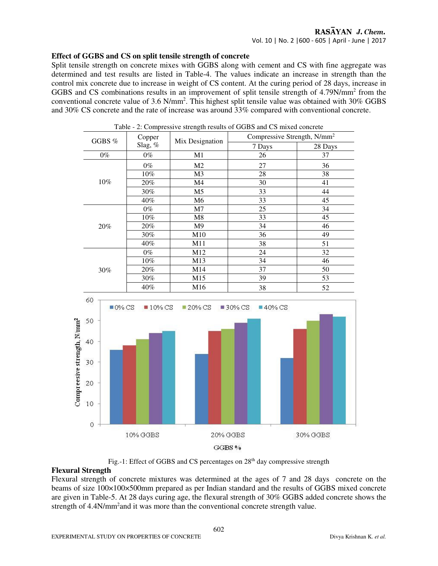# RASAYAN J. Chem.

### Vol. 10 | No. 2 |600 - 605 | April - June | 2017

#### **Effect of GGBS and CS on split tensile strength of concrete**

Split tensile strength on concrete mixes with GGBS along with cement and CS with fine aggregate was determined and test results are listed in Table-4. The values indicate an increase in strength than the control mix concrete due to increase in weight of CS content. At the curing period of 28 days, increase in GGBS and CS combinations results in an improvement of split tensile strength of 4.79N/mm<sup>2</sup> from the conventional concrete value of 3.6 N/mm<sup>2</sup> . This highest split tensile value was obtained with 30% GGBS and 30% CS concrete and the rate of increase was around 33% compared with conventional concrete.



Table - 2: Compressive strength results of GGBS and CS mixed concrete

Fig.-1: Effect of GGBS and CS percentages on 28<sup>th</sup> day compressive strength

### **Flexural Strength**

Flexural strength of concrete mixtures was determined at the ages of 7 and 28 days concrete on the beams of size 100×100×500mm prepared as per Indian standard and the results of GGBS mixed concrete are given in Table-5. At 28 days curing age, the flexural strength of 30% GGBS added concrete shows the strength of 4.4N/mm<sup>2</sup> and it was more than the conventional concrete strength value.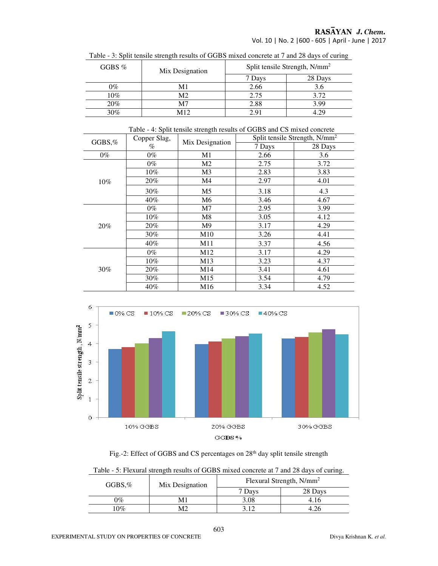# RASĀYAN J. Chem.

Vol. 10 | No. 2 |600 - 605 | April - June | 2017

| GGBS $%$ | Mix Designation | Split tensile Strength, N/mm <sup>2</sup> |         |
|----------|-----------------|-------------------------------------------|---------|
|          |                 | 7 Days                                    | 28 Days |
| 0%       | M1              | 2.66                                      |         |
| $10\%$   | M2              | 2.75                                      | 3.72    |
| 20%      | M7              | 2.88                                      | 3.99    |
| 30%      | M12             | 2.91                                      |         |

Table - 3: Split tensile strength results of GGBS mixed concrete at 7 and 28 days of curing

| Table - 4: Split tensile strength results of GGBS and CS mixed concrete |              |                 |                                           |         |  |
|-------------------------------------------------------------------------|--------------|-----------------|-------------------------------------------|---------|--|
| GGBS,%                                                                  | Copper Slag, | Mix Designation | Split tensile Strength, N/mm <sup>2</sup> |         |  |
|                                                                         | $\%$         |                 | 7 Days                                    | 28 Days |  |
| $0\%$                                                                   | $0\%$        | M1              | 2.66                                      | 3.6     |  |
|                                                                         | 0%           | M <sub>2</sub>  | 2.75                                      | 3.72    |  |
|                                                                         | $10\%$       | M3              | 2.83                                      | 3.83    |  |
| $10\%$                                                                  | 20%          | M4              | 2.97                                      | 4.01    |  |
|                                                                         | 30%          | M <sub>5</sub>  | 3.18                                      | 4.3     |  |
|                                                                         | $40\%$       | M6              | 3.46                                      | 4.67    |  |
| 20%                                                                     | $0\%$        | M <sub>7</sub>  | 2.95                                      | 3.99    |  |
|                                                                         | $10\%$       | M8              | 3.05                                      | 4.12    |  |
|                                                                         | 20%          | M9              | 3.17                                      | 4.29    |  |
|                                                                         | 30%          | M10             | 3.26                                      | 4.41    |  |
|                                                                         | $40\%$       | M11             | 3.37                                      | 4.56    |  |
| 30%                                                                     | $0\%$        | M12             | 3.17                                      | 4.29    |  |
|                                                                         | $10\%$       | M13             | 3.23                                      | 4.37    |  |
|                                                                         | 20%          | M14             | 3.41                                      | 4.61    |  |
|                                                                         | 30%          | M15             | 3.54                                      | 4.79    |  |
|                                                                         | 40%          | M <sub>16</sub> | 3.34                                      | 4.52    |  |



Fig.-2: Effect of GGBS and CS percentages on 28<sup>th</sup> day split tensile strength

|  | Table - 5: Flexural strength results of GGBS mixed concrete at 7 and 28 days of curing. |
|--|-----------------------------------------------------------------------------------------|
|  |                                                                                         |

| $GGBS,\%$     | Mix Designation | Flexural Strength, N/mm <sup>2</sup> |         |  |
|---------------|-----------------|--------------------------------------|---------|--|
|               |                 | 7 Days                               | 28 Days |  |
| $\gamma_{\%}$ |                 | 3.08                                 |         |  |
| 10%           |                 | 212                                  |         |  |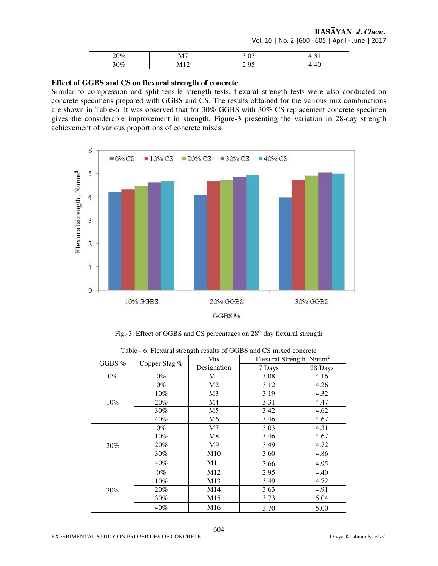RASAYAN J. Chem.

Vol. 10 | No. 2 |600 - 605 | April - June | 2017

| $\sim$<br>1% | --<br>- - - | т. ј |
|--------------|-------------|------|
| $v_0$        |             | ᠇    |

### **Effect of GGBS and CS on flexural strength of concrete**

Similar to compression and split tensile strength tests, flexural strength tests were also conducted on concrete specimens prepared with GGBS and CS. The results obtained for the various mix combinations are shown in Table-6. It was observed that for 30% GGBS with 30% CS replacement concrete specimen gives the considerable improvement in strength. Figure-3 presenting the variation in 28-day strength achievement of various proportions of concrete mixes.



Fig.-3: Effect of GGBS and CS percentages on 28<sup>th</sup> day flexural strength

| Table - 6: Flexural strength results of GGBS and CS mixed concrete |               |                                             |        |         |
|--------------------------------------------------------------------|---------------|---------------------------------------------|--------|---------|
| GGBS $%$                                                           | Copper Slag % | Flexural Strength, N/mm <sup>2</sup><br>Mix |        |         |
|                                                                    |               | Designation                                 | 7 Days | 28 Days |
| $0\%$                                                              | $0\%$         | M1                                          | 3.08   | 4.16    |
|                                                                    | $0\%$         | M2                                          | 3.12   | 4.26    |
|                                                                    | $10\%$        | M3                                          | 3.19   | 4.32    |
| $10\%$                                                             | 20%           | M4                                          | 3.31   | 4.47    |
|                                                                    | 30%           | M5                                          | 3.42   | 4.62    |
|                                                                    | $40\%$        | M6                                          | 3.46   | 4.67    |
|                                                                    | $0\%$         | M7                                          | 3.03   | 4.31    |
|                                                                    | $10\%$        | M8                                          | 3.46   | 4.67    |
| 20%                                                                | 20%           | M <sup>9</sup>                              | 3.49   | 4.72    |
|                                                                    | 30%           | M10                                         | 3.60   | 4.86    |
|                                                                    | $40\%$        | M11                                         | 3.66   | 4.95    |
| 30%                                                                | $0\%$         | M <sub>12</sub>                             | 2.95   | 4.40    |
|                                                                    | $10\%$        | M13                                         | 3.49   | 4.72    |
|                                                                    | 20%           | M14                                         | 3.63   | 4.91    |
|                                                                    | 30%           | M15                                         | 3.73   | 5.04    |
|                                                                    | 40%           | M <sub>16</sub>                             | 3.70   | 5.00    |

EXPERIMENTAL STUDY ON PROPERTIES OF CONCRETE **Divya Krishnan K.** et al.